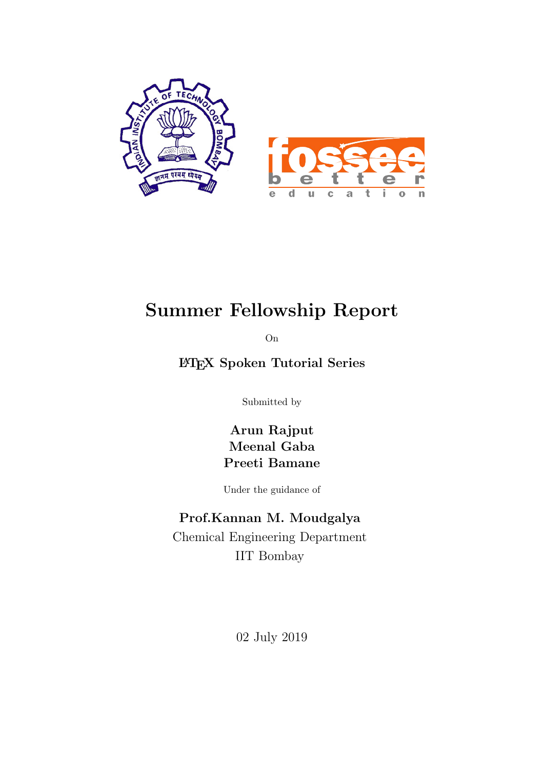

# Summer Fellowship Report

On

LATEX Spoken Tutorial Series

Submitted by

Arun Rajput Meenal Gaba Preeti Bamane

Under the guidance of

### Prof.Kannan M. Moudgalya

Chemical Engineering Department IIT Bombay

02 July 2019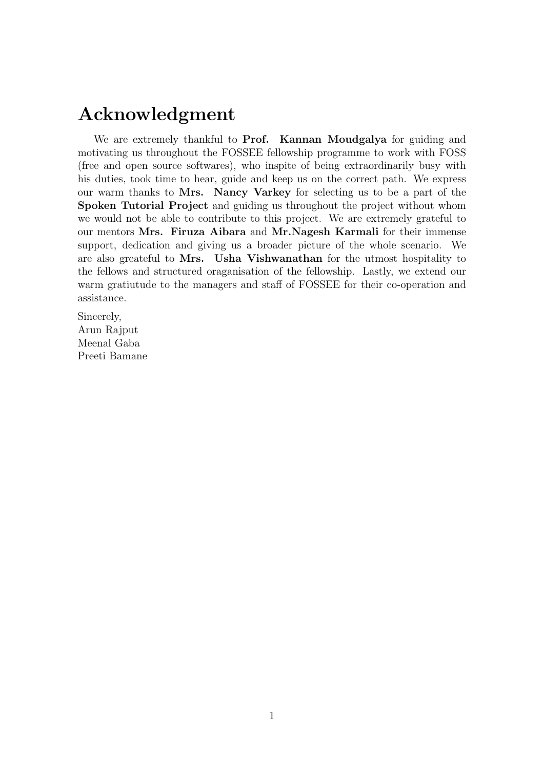# Acknowledgment

We are extremely thankful to **Prof.** Kannan Moudgalya for guiding and motivating us throughout the FOSSEE fellowship programme to work with FOSS (free and open source softwares), who inspite of being extraordinarily busy with his duties, took time to hear, guide and keep us on the correct path. We express our warm thanks to Mrs. Nancy Varkey for selecting us to be a part of the Spoken Tutorial Project and guiding us throughout the project without whom we would not be able to contribute to this project. We are extremely grateful to our mentors Mrs. Firuza Aibara and Mr.Nagesh Karmali for their immense support, dedication and giving us a broader picture of the whole scenario. We are also greateful to Mrs. Usha Vishwanathan for the utmost hospitality to the fellows and structured oraganisation of the fellowship. Lastly, we extend our warm gratiutude to the managers and staff of FOSSEE for their co-operation and assistance.

Sincerely, Arun Rajput Meenal Gaba Preeti Bamane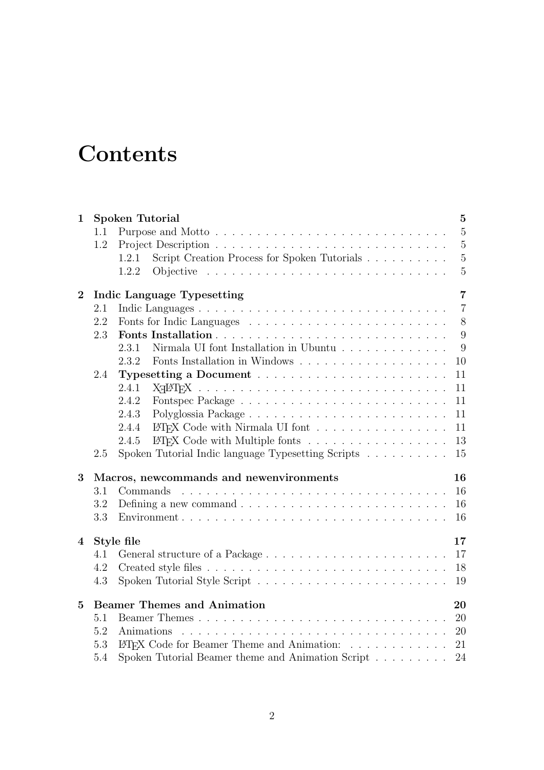# **Contents**

| $\mathbf{1}$   |         | <b>Spoken Tutorial</b><br>$\bf{5}$                                                                           |
|----------------|---------|--------------------------------------------------------------------------------------------------------------|
|                | 1.1     | $\overline{5}$<br>Purpose and Motto                                                                          |
|                | 1.2     | $\overline{5}$                                                                                               |
|                |         | $\mathbf 5$<br>Script Creation Process for Spoken Tutorials<br>1.2.1                                         |
|                |         | $\overline{5}$<br>Objective $\ldots \ldots \ldots \ldots \ldots \ldots \ldots \ldots \ldots \ldots$<br>1.2.2 |
| $\bf{2}$       |         | $\overline{7}$<br>Indic Language Typesetting                                                                 |
|                | 2.1     | $\overline{7}$                                                                                               |
|                | 2.2     | $8\,$                                                                                                        |
|                | 2.3     | 9                                                                                                            |
|                |         | Nirmala UI font Installation in Ubuntu<br>9<br>2.3.1                                                         |
|                |         | 2.3.2<br>10                                                                                                  |
|                | 2.4     | 11                                                                                                           |
|                |         | 2.4.1<br>11                                                                                                  |
|                |         | 2.4.2<br>11                                                                                                  |
|                |         | 2.4.3<br>11                                                                                                  |
|                |         | LAT <sub>F</sub> X Code with Nirmala UI font<br>2.4.4<br>11                                                  |
|                |         | LAT <sub>F</sub> X Code with Multiple fonts<br>13<br>2.4.5                                                   |
|                | $2.5\,$ | Spoken Tutorial Indic language Typesetting Scripts<br>15                                                     |
| 3              |         | Macros, newcommands and newenvironments<br>16                                                                |
|                | 3.1     | 16<br>Commands                                                                                               |
|                | 3.2     | Defining a new command $\ldots \ldots \ldots \ldots \ldots \ldots \ldots \ldots \ldots$<br>16                |
|                | 3.3     | 16                                                                                                           |
|                |         |                                                                                                              |
| $\overline{4}$ |         | Style file<br>17                                                                                             |
|                | 4.1     | 17                                                                                                           |
|                | 4.2     | 18                                                                                                           |
|                | 4.3     | 19                                                                                                           |
| $\overline{5}$ |         | <b>Beamer Themes and Animation</b><br>20                                                                     |
|                | 5.1     | 20                                                                                                           |
|                | 5.2     | Animations<br>20                                                                                             |
|                | 5.3     | LAT <sub>F</sub> X Code for Beamer Theme and Animation:<br>21                                                |
|                | 5.4     | Spoken Tutorial Beamer theme and Animation Script<br>24                                                      |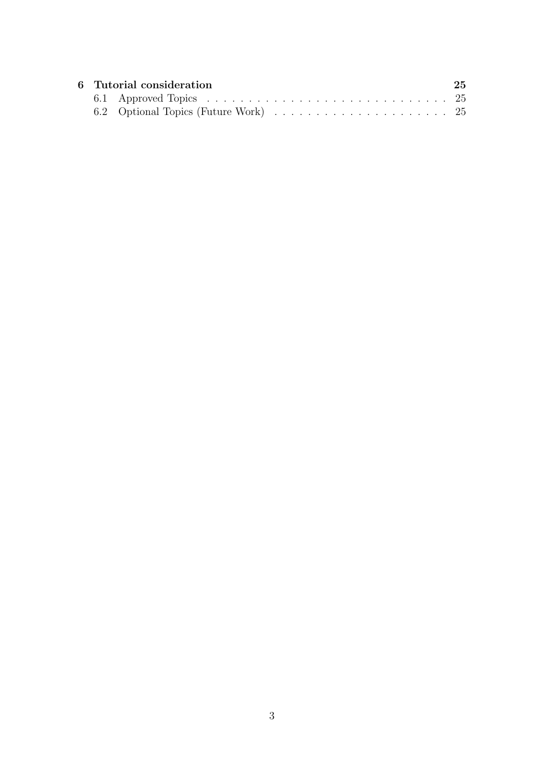|  | 6 Tutorial consideration | 25 |
|--|--------------------------|----|
|  |                          |    |
|  |                          |    |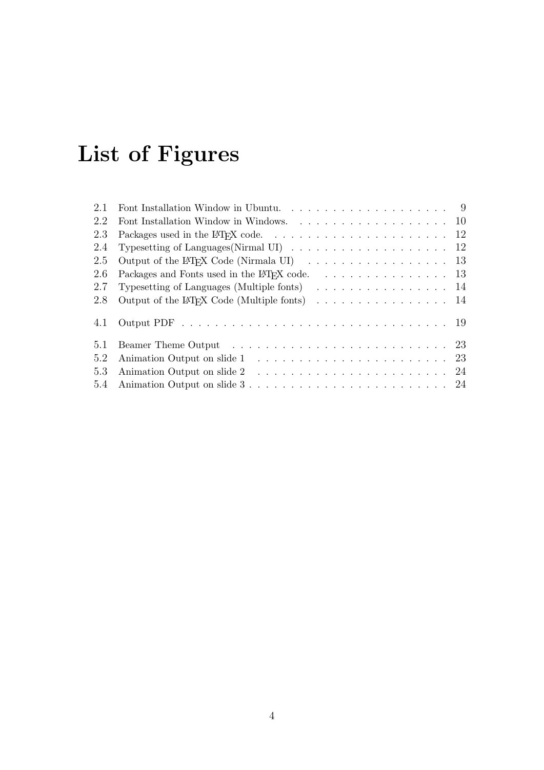# List of Figures

| 2.1 |                                                                                                                                                                                                                                |
|-----|--------------------------------------------------------------------------------------------------------------------------------------------------------------------------------------------------------------------------------|
| 2.2 |                                                                                                                                                                                                                                |
| 2.3 |                                                                                                                                                                                                                                |
| 2.4 | Typesetting of Languages (Nirmal UI) $\ldots \ldots \ldots \ldots \ldots \ldots \ldots \ldots$                                                                                                                                 |
| 2.5 | Output of the L <sup>T</sup> FX Code (Nirmala UI) $\ldots \ldots \ldots \ldots \ldots \ldots \ldots$ 13                                                                                                                        |
| 2.6 | Packages and Fonts used in the L <sup>T</sup> FX code. 13                                                                                                                                                                      |
| 2.7 | Typesetting of Languages (Multiple fonts) $\ldots \ldots \ldots \ldots \ldots \ldots$                                                                                                                                          |
| 2.8 | Output of the LAT <sub>F</sub> X Code (Multiple fonts) $\ldots \ldots \ldots \ldots \ldots \ldots 14$                                                                                                                          |
| 4.1 |                                                                                                                                                                                                                                |
| 5.1 | Beamer Theme Output (a) and a series and a series of the series of the Seamer Theme Output (a) and a series of the Seamer Seamer Seamer Seamer Seamer Seamer Seamer Seamer Seamer Seamer Seamer Seamer Seamer Seamer Seamer Se |
| 5.2 |                                                                                                                                                                                                                                |
| 5.3 |                                                                                                                                                                                                                                |
|     |                                                                                                                                                                                                                                |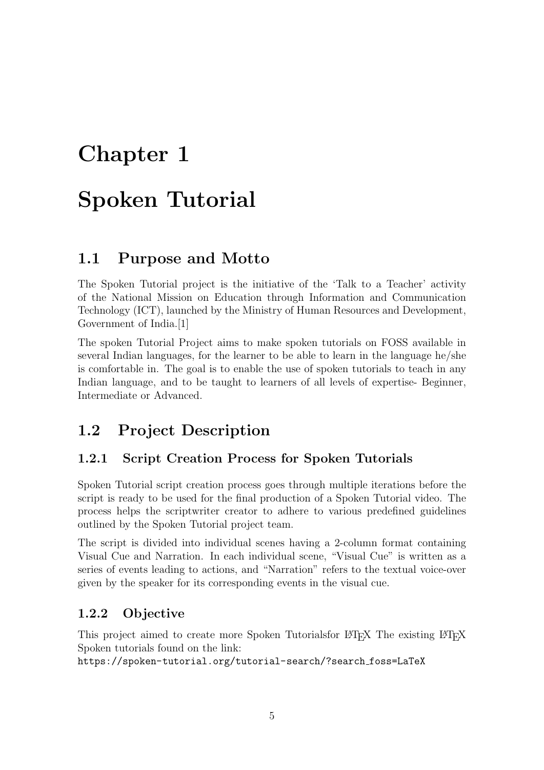# <span id="page-5-0"></span>Spoken Tutorial

### <span id="page-5-1"></span>1.1 Purpose and Motto

The Spoken Tutorial project is the initiative of the 'Talk to a Teacher' activity of the National Mission on Education through Information and Communication Technology (ICT), launched by the Ministry of Human Resources and Development, Government of India.[\[1\]](#page-26-0)

The spoken Tutorial Project aims to make spoken tutorials on FOSS available in several Indian languages, for the learner to be able to learn in the language he/she is comfortable in. The goal is to enable the use of spoken tutorials to teach in any Indian language, and to be taught to learners of all levels of expertise- Beginner, Intermediate or Advanced.

### <span id="page-5-2"></span>1.2 Project Description

#### <span id="page-5-3"></span>1.2.1 Script Creation Process for Spoken Tutorials

Spoken Tutorial script creation process goes through multiple iterations before the script is ready to be used for the final production of a Spoken Tutorial video. The process helps the scriptwriter creator to adhere to various predefined guidelines outlined by the Spoken Tutorial project team.

The script is divided into individual scenes having a 2-column format containing Visual Cue and Narration. In each individual scene, "Visual Cue" is written as a series of events leading to actions, and "Narration" refers to the textual voice-over given by the speaker for its corresponding events in the visual cue.

#### <span id="page-5-4"></span>1.2.2 Objective

This project aimed to create more Spoken Tutorialsfor LATEX The existing LATEX Spoken tutorials found on the link:

[https://spoken-tutorial.org/tutorial-search/?search](https://spoken-tutorial.org/tutorial-search/?search_foss=LaTeX) foss=LaTeX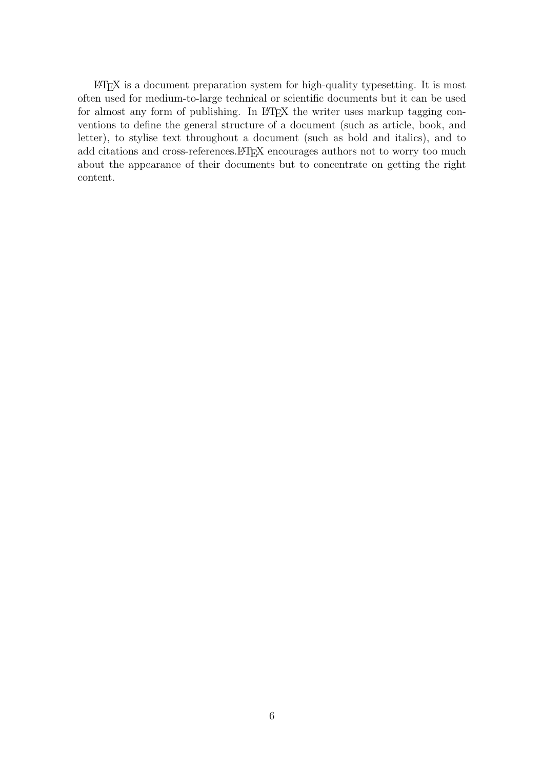LATEX is a document preparation system for high-quality typesetting. It is most often used for medium-to-large technical or scientific documents but it can be used for almost any form of publishing. In LAT<sub>EX</sub> the writer uses markup tagging conventions to define the general structure of a document (such as article, book, and letter), to stylise text throughout a document (such as bold and italics), and to add citations and cross-references. LAT<sub>EX</sub> encourages authors not to worry too much about the appearance of their documents but to concentrate on getting the right content.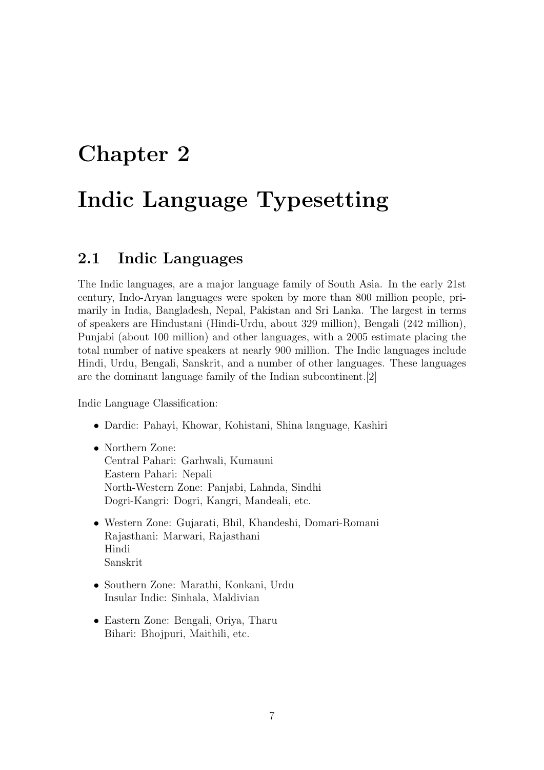# <span id="page-7-0"></span>Chapter 2 Indic Language Typesetting

### <span id="page-7-1"></span>2.1 Indic Languages

The Indic languages, are a major language family of South Asia. In the early 21st century, Indo-Aryan languages were spoken by more than 800 million people, primarily in India, Bangladesh, Nepal, Pakistan and Sri Lanka. The largest in terms of speakers are Hindustani (Hindi-Urdu, about 329 million), Bengali (242 million), Punjabi (about 100 million) and other languages, with a 2005 estimate placing the total number of native speakers at nearly 900 million. The Indic languages include Hindi, Urdu, Bengali, Sanskrit, and a number of other languages. These languages are the dominant language family of the Indian subcontinent.[\[2\]](#page-26-1)

Indic Language Classification:

- Dardic: Pahayi, Khowar, Kohistani, Shina language, Kashiri
- Northern Zone: Central Pahari: Garhwali, Kumauni Eastern Pahari: Nepali North-Western Zone: Panjabi, Lahnda, Sindhi Dogri-Kangri: Dogri, Kangri, Mandeali, etc.
- Western Zone: Gujarati, Bhil, Khandeshi, Domari-Romani Rajasthani: Marwari, Rajasthani Hindi Sanskrit
- Southern Zone: Marathi, Konkani, Urdu Insular Indic: Sinhala, Maldivian
- Eastern Zone: Bengali, Oriya, Tharu Bihari: Bhojpuri, Maithili, etc.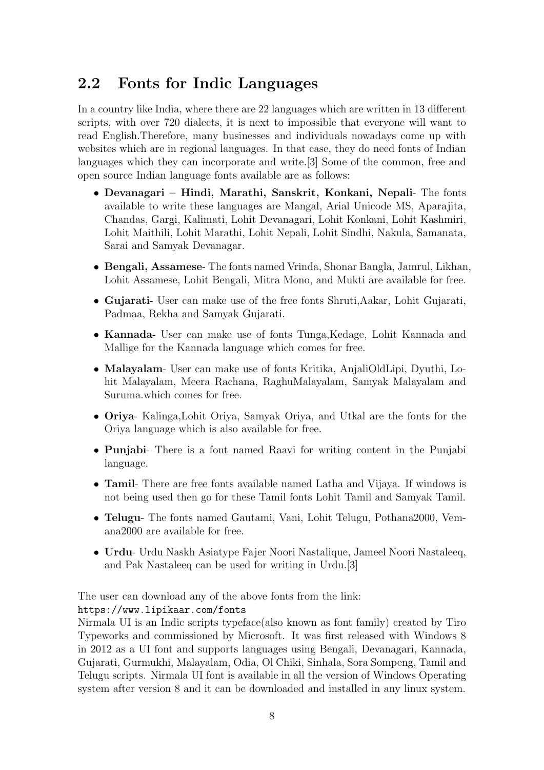### <span id="page-8-0"></span>2.2 Fonts for Indic Languages

In a country like India, where there are 22 languages which are written in 13 different scripts, with over 720 dialects, it is next to impossible that everyone will want to read English.Therefore, many businesses and individuals nowadays come up with websites which are in regional languages. In that case, they do need fonts of Indian languages which they can incorporate and write.[\[3\]](#page-26-2) Some of the common, free and open source Indian language fonts available are as follows:

- Devanagari Hindi, Marathi, Sanskrit, Konkani, Nepali- The fonts available to write these languages are Mangal, Arial Unicode MS, Aparajita, Chandas, Gargi, Kalimati, Lohit Devanagari, Lohit Konkani, Lohit Kashmiri, Lohit Maithili, Lohit Marathi, Lohit Nepali, Lohit Sindhi, Nakula, Samanata, Sarai and Samyak Devanagar.
- Bengali, Assamese- The fonts named Vrinda, Shonar Bangla, Jamrul, Likhan, Lohit Assamese, Lohit Bengali, Mitra Mono, and Mukti are available for free.
- Gujarati- User can make use of the free fonts Shruti,Aakar, Lohit Gujarati, Padmaa, Rekha and Samyak Gujarati.
- Kannada- User can make use of fonts Tunga,Kedage, Lohit Kannada and Mallige for the Kannada language which comes for free.
- Malayalam- User can make use of fonts Kritika, AnjaliOldLipi, Dyuthi, Lohit Malayalam, Meera Rachana, RaghuMalayalam, Samyak Malayalam and Suruma.which comes for free.
- Oriya- Kalinga,Lohit Oriya, Samyak Oriya, and Utkal are the fonts for the Oriya language which is also available for free.
- Punjabi- There is a font named Raavi for writing content in the Punjabi language.
- Tamil- There are free fonts available named Latha and Vijaya. If windows is not being used then go for these Tamil fonts Lohit Tamil and Samyak Tamil.
- Telugu- The fonts named Gautami, Vani, Lohit Telugu, Pothana2000, Vemana2000 are available for free.
- Urdu- Urdu Naskh Asiatype Fajer Noori Nastalique, Jameel Noori Nastaleeq, and Pak Nastaleeq can be used for writing in Urdu.[3]

The user can download any of the above fonts from the link:

<https://www.lipikaar.com/fonts>

Nirmala UI is an Indic scripts typeface(also known as font family) created by Tiro Typeworks and commissioned by Microsoft. It was first released with Windows 8 in 2012 as a UI font and supports languages using Bengali, Devanagari, Kannada, Gujarati, Gurmukhi, Malayalam, Odia, Ol Chiki, Sinhala, Sora Sompeng, Tamil and Telugu scripts. Nirmala UI font is available in all the version of Windows Operating system after version 8 and it can be downloaded and installed in any linux system.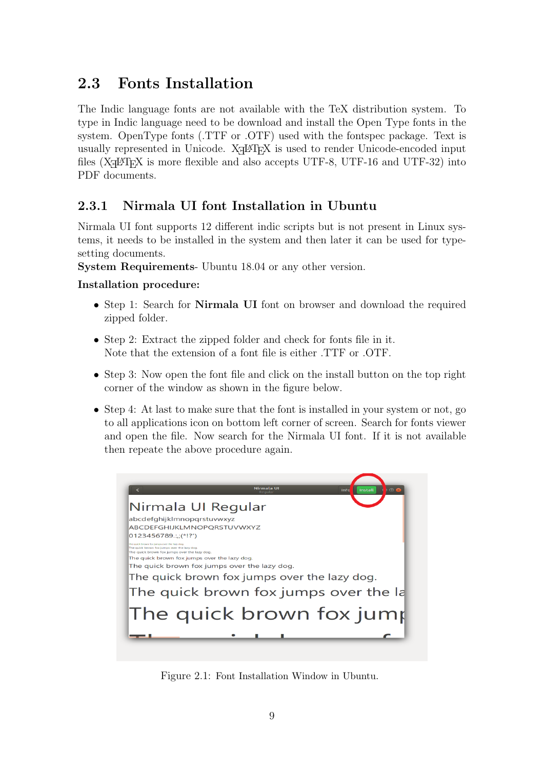## <span id="page-9-0"></span>2.3 Fonts Installation

The Indic language fonts are not available with the TeX distribution system. To type in Indic language need to be download and install the Open Type fonts in the system. OpenType fonts (.TTF or .OTF) used with the fontspec package. Text is usually represented in Unicode. XAPIEX is used to render Unicode-encoded input files ( $X \rightarrow B$ TEX is more flexible and also accepts UTF-8, UTF-16 and UTF-32) into PDF documents.

### <span id="page-9-1"></span>2.3.1 Nirmala UI font Installation in Ubuntu

Nirmala UI font supports 12 different indic scripts but is not present in Linux systems, it needs to be installed in the system and then later it can be used for typesetting documents.

System Requirements- Ubuntu 18.04 or any other version.

#### Installation procedure:

- Step 1: Search for **Nirmala UI** font on browser and download the required zipped folder.
- Step 2: Extract the zipped folder and check for fonts file in it. Note that the extension of a font file is either .TTF or .OTF.
- Step 3: Now open the font file and click on the install button on the top right corner of the window as shown in the figure below.
- Step 4: At last to make sure that the font is installed in your system or not, go to all applications icon on bottom left corner of screen. Search for fonts viewer and open the file. Now search for the Nirmala UI font. If it is not available then repeate the above procedure again.

<span id="page-9-2"></span>

Figure 2.1: Font Installation Window in Ubuntu.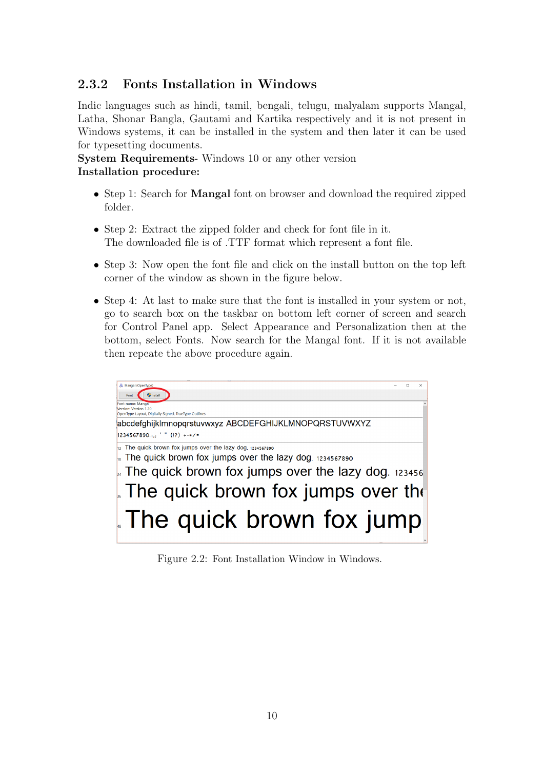### <span id="page-10-0"></span>2.3.2 Fonts Installation in Windows

Indic languages such as hindi, tamil, bengali, telugu, malyalam supports Mangal, Latha, Shonar Bangla, Gautami and Kartika respectively and it is not present in Windows systems, it can be installed in the system and then later it can be used for typesetting documents.

System Requirements- Windows 10 or any other version Installation procedure:

- Step 1: Search for **Mangal** font on browser and download the required zipped folder.
- Step 2: Extract the zipped folder and check for font file in it. The downloaded file is of .TTF format which represent a font file.
- Step 3: Now open the font file and click on the install button on the top left corner of the window as shown in the figure below.
- Step 4: At last to make sure that the font is installed in your system or not, go to search box on the taskbar on bottom left corner of screen and search for Control Panel app. Select Appearance and Personalization then at the bottom, select Fonts. Now search for the Mangal font. If it is not available then repeate the above procedure again.

<span id="page-10-1"></span>

Figure 2.2: Font Installation Window in Windows.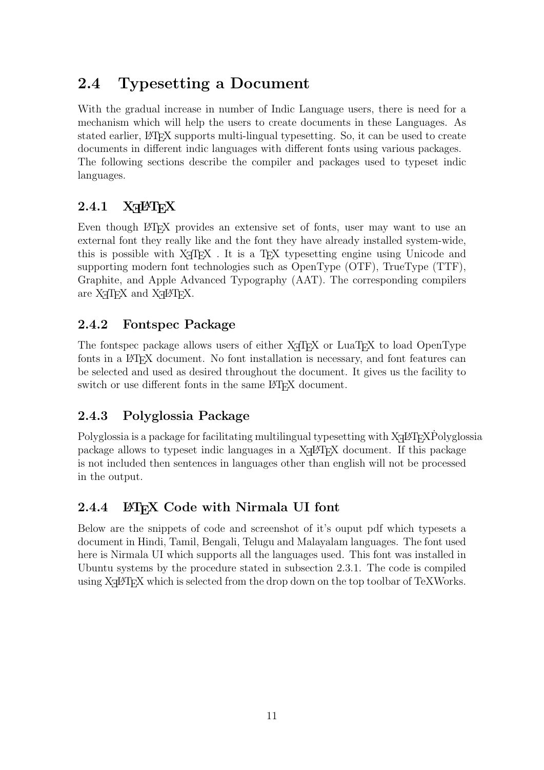## <span id="page-11-0"></span>2.4 Typesetting a Document

With the gradual increase in number of Indic Language users, there is need for a mechanism which will help the users to create documents in these Languages. As stated earlier, LATEX supports multi-lingual typesetting. So, it can be used to create documents in different indic languages with different fonts using various packages. The following sections describe the compiler and packages used to typeset indic languages.

## <span id="page-11-1"></span> $2.4.1$  X<sub>H</sub>PT<sub>E</sub>X

Even though LATEX provides an extensive set of fonts, user may want to use an external font they really like and the font they have already installed system-wide, this is possible with X<sub>T</sub>T<sub>E</sub>X. It is a T<sub>E</sub>X typesetting engine using Unicode and supporting modern font technologies such as OpenType (OTF), TrueType (TTF), Graphite, and Apple Advanced Typography (AAT). The corresponding compilers are  $X_{\overline{A}}T_{\overline{E}}X$  and  $X_{\overline{A}}T_{\overline{E}}X$ .

#### <span id="page-11-2"></span>2.4.2 Fontspec Package

The fontspec package allows users of either X<sub>T</sub>T<sub>E</sub>X or LuaT<sub>E</sub>X to load OpenType fonts in a LAT<sub>EX</sub> document. No font installation is necessary, and font features can be selected and used as desired throughout the document. It gives us the facility to switch or use different fonts in the same LATEX document.

### <span id="page-11-3"></span>2.4.3 Polyglossia Package

Polyglossia is a package for facilitating multilingual typesetting with  $X_{\text{T}}$  EXP olyglossia package allows to typeset indic languages in a X<sub>H</sub>AT<sub>E</sub>X document. If this package is not included then sentences in languages other than english will not be processed in the output.

### <span id="page-11-4"></span>2.4.4 LATEX Code with Nirmala UI font

Below are the snippets of code and screenshot of it's ouput pdf which typesets a document in Hindi, Tamil, Bengali, Telugu and Malayalam languages. The font used here is Nirmala UI which supports all the languages used. This font was installed in Ubuntu systems by the procedure stated in subsection 2.3.1. The code is compiled using X<sub>H</sub>LI<sub>E</sub>X which is selected from the drop down on the top toolbar of TeXWorks.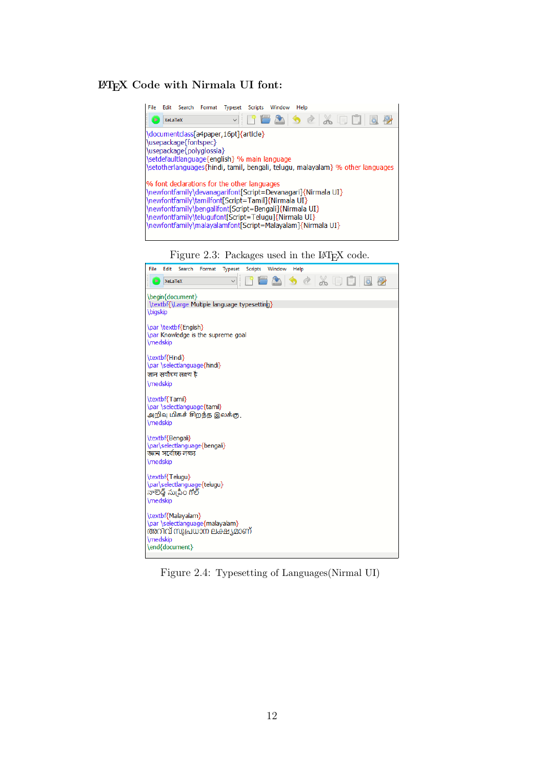#### <span id="page-12-0"></span>LATEX Code with Nirmala UI font:



Figure 2.4: Typesetting of Languages(Nirmal UI)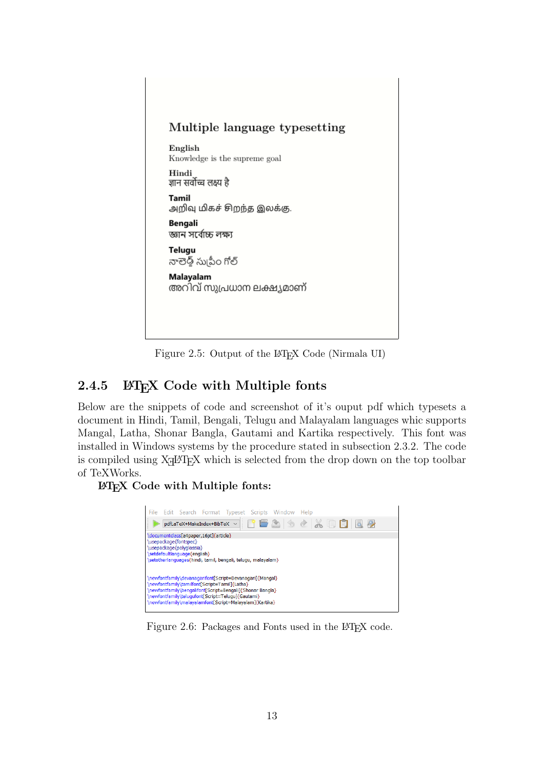<span id="page-13-1"></span>

Figure 2.5: Output of the LAT<sub>EX</sub> Code (Nirmala UI)

### <span id="page-13-0"></span>2.4.5 LATEX Code with Multiple fonts

Below are the snippets of code and screenshot of it's ouput pdf which typesets a document in Hindi, Tamil, Bengali, Telugu and Malayalam languages whic supports Mangal, Latha, Shonar Bangla, Gautami and Kartika respectively. This font was installed in Windows systems by the procedure stated in subsection 2.3.2. The code is compiled using X<sub>H</sub>AT<sub>E</sub>X which is selected from the drop down on the top toolbar of TeXWorks.

<span id="page-13-2"></span>LATEX Code with Multiple fonts:



Figure 2.6: Packages and Fonts used in the LAT<sub>E</sub>X code.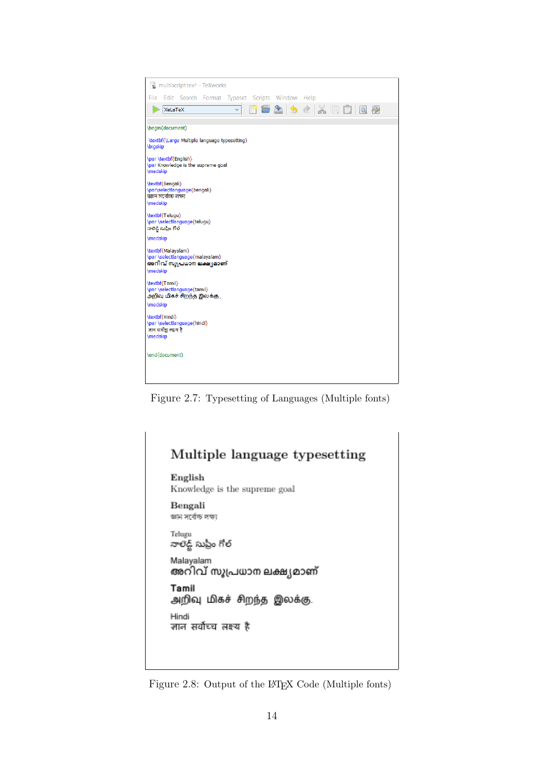<span id="page-14-0"></span>

| multiscript.tex* - TeXworks                                                                    |
|------------------------------------------------------------------------------------------------|
| Edit Search Format Typeset Scripts Window Help<br>File                                         |
| 1062628008<br><b>XeLaTeX</b>                                                                   |
| \begin{document}                                                                               |
|                                                                                                |
| \textbf{\Large Multiple language typesetting}<br><b>\bigskip</b>                               |
| \par \textbf{English}<br>\par Knowledge is the supreme goal<br>\medskip                        |
| \textbf{Bengali}<br>\par\selectlanguage{bengali}                                               |
| জ্ঞান সৰ্বোচ্চ লক্ষ্য<br>\medskip                                                              |
| \textbf{Telugu}<br>\par \selectlanguage{telugu}<br>నాలెడ్జ్ సుప్రీం గోల్                       |
| \medskip                                                                                       |
| \textbf{Malayalam}<br>\par \selectlanguage{malayalam}<br>അറിവ് സുപ്രധാന ലക്ഷ്യമാണ്<br>\medskip |
| \textbf{Tamil}<br>\par \selectlanguage{tamil}<br>அறிவு மிகச் சிறந்த இலக்கு .                   |
| \medskip                                                                                       |
| \textbf{Hindi}<br>\par \selectlanguage{hindi}                                                  |
| ज्ञान सर्वोच्च लक्ष्य है<br><b>\medskip</b>                                                    |
| \end{document}                                                                                 |
|                                                                                                |
|                                                                                                |

Figure 2.7: Typesetting of Languages (Multiple fonts)

<span id="page-14-1"></span>

| English                          | Knowledge is the supreme goal |
|----------------------------------|-------------------------------|
| Bengali<br>জ্ঞান সর্বোচ্চ লক্ষ্য |                               |
| Telugu<br>నాలెడ్జ్ సుప్రీం గోల్  |                               |
| Malayalam                        | അറിവ് സുപ്രധാന ലക്ഷ്യമാണ്     |
| Tamil                            | அறிவு மிகச் சிறந்த இலக்கு.    |
| Hindi                            | ज्ञान सर्वोच्च लक्ष्य है      |

Figure 2.8: Output of the LATEX Code (Multiple fonts)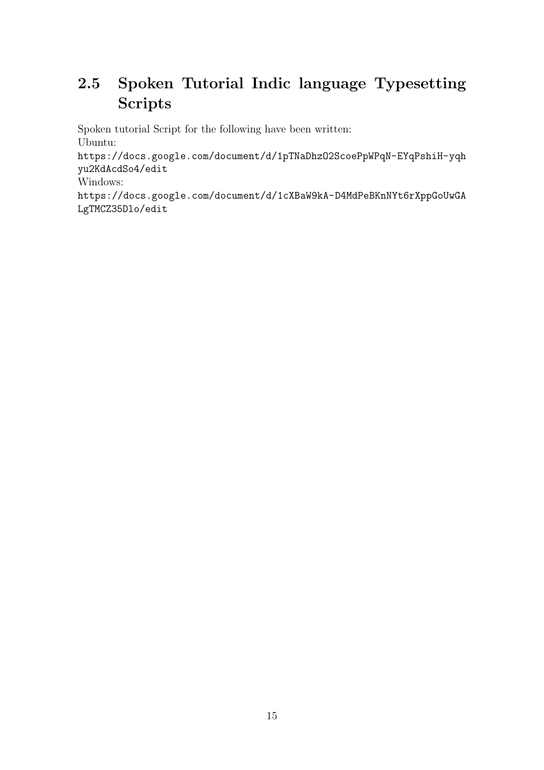# <span id="page-15-0"></span>2.5 Spoken Tutorial Indic language Typesetting Scripts

Spoken tutorial Script for the following have been written: Ubuntu:

[https://docs.google.com/document/d/1pTNaDhzO2ScoePpWPqN-EYqPshiH-yqh](https://docs.google.com/document/d/1pTNaDhzO2ScoePpWPqN-EYqPshiH-yqhyu2KdAcdSo4/edit) [yu2KdAcdSo4/edit](https://docs.google.com/document/d/1pTNaDhzO2ScoePpWPqN-EYqPshiH-yqhyu2KdAcdSo4/edit)

Windows:

[https://docs.google.com/document/d/1cXBaW9kA-D4MdPeBKnNYt6rXppGoUwGA](https://docs.google.com/document/d/1cXBaW9kA-D4MdPeBKnNYt6rXppGoUwGALgTMCZ35Dlo/edit) [LgTMCZ35Dlo/edit](https://docs.google.com/document/d/1cXBaW9kA-D4MdPeBKnNYt6rXppGoUwGALgTMCZ35Dlo/edit)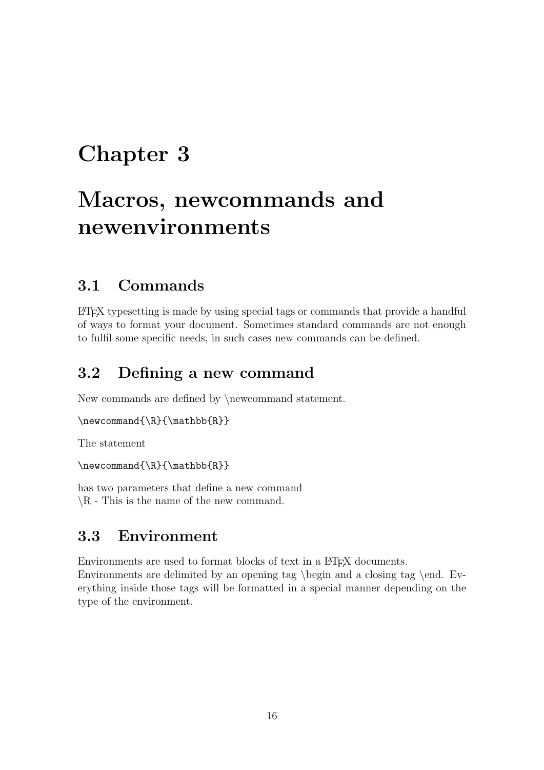# <span id="page-16-0"></span>Macros, newcommands and newenvironments

### <span id="page-16-1"></span>3.1 Commands

LATEX typesetting is made by using special tags or commands that provide a handful of ways to format your document. Sometimes standard commands are not enough to fulfil some specific needs, in such cases new commands can be defined.

### <span id="page-16-2"></span>3.2 Defining a new command

New commands are defined by \newcommand statement.

```
\newcommand{\R}{\mathbb{R}}
```
The statement

```
\newcommand{\R}{\mathbb{R}}
```
has two parameters that define a new command  $\setminus R$  - This is the name of the new command.

### <span id="page-16-3"></span>3.3 Environment

Environments are used to format blocks of text in a LAT<sub>EX</sub> documents.

Environments are delimited by an opening tag \begin and a closing tag \end. Everything inside those tags will be formatted in a special manner depending on the type of the environment.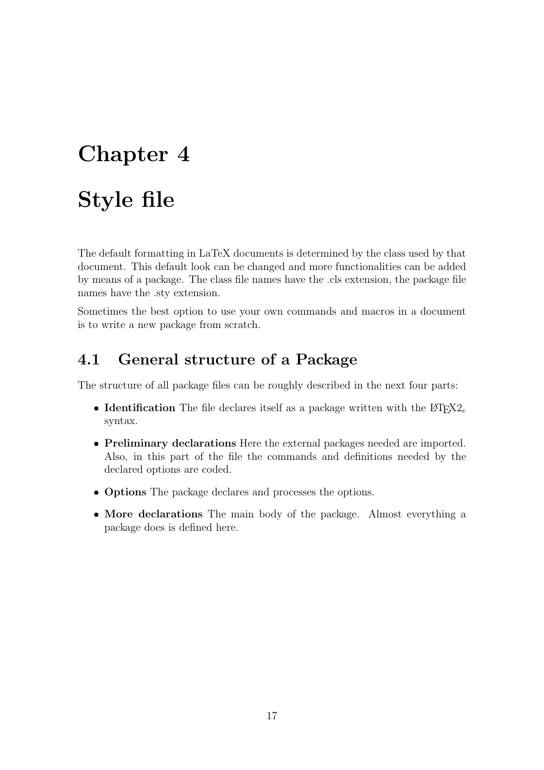# <span id="page-17-0"></span>Style file

The default formatting in LaTeX documents is determined by the class used by that document. This default look can be changed and more functionalities can be added by means of a package. The class file names have the .cls extension, the package file names have the .sty extension.

Sometimes the best option to use your own commands and macros in a document is to write a new package from scratch.

### <span id="page-17-1"></span>4.1 General structure of a Package

The structure of all package files can be roughly described in the next four parts:

- Identification The file declares itself as a package written with the  $\text{LTr}X2_e$ syntax.
- Preliminary declarations Here the external packages needed are imported. Also, in this part of the file the commands and definitions needed by the declared options are coded.
- **Options** The package declares and processes the options.
- More declarations The main body of the package. Almost everything a package does is defined here.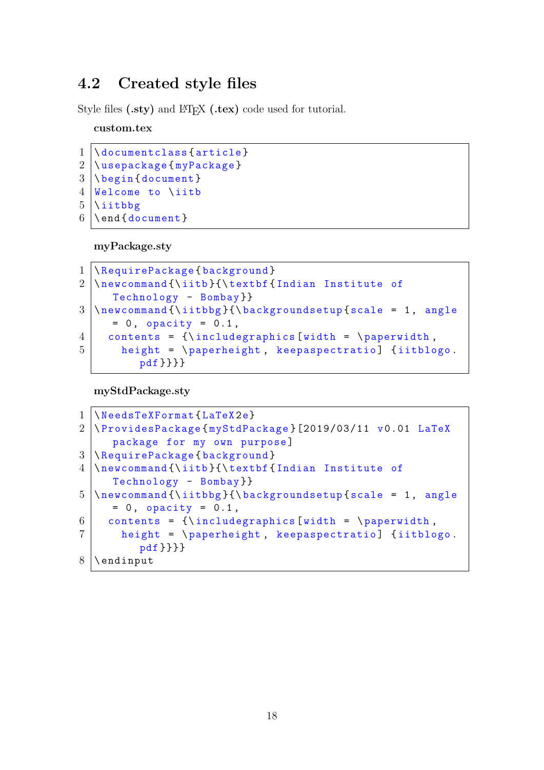### <span id="page-18-0"></span>4.2 Created style files

Style files (.sty) and LATEX (.tex) code used for tutorial.

custom.tex

```
1 \documentclass { article }
2 \ \{n \}3 \ \{\text{document}\}4 Welcome to \ iitb
5 \mid \text{iibbg}6 \ \text{length}
```
myPackage.sty

```
1 | \RequirePackage { background }
2 \ \nnewcommand{\\it{\tite}{\textbf{Indian Institute of}}Technology - Bombay }}
3 \ \hbox{\tt newcommand}}{\thinspace\} \iitbbg}{\backgroundsetup{scale = 1, angle
     = 0, opacity = 0.1,
4 contents = {\includegraphics [width = \paperwidth,
5 height = \paperheight, keepaspectratio] {iitblogo.
          pdf }}}}
```
myStdPackage.sty

```
1 \ NeedsTeXFormat { LaTeX 2e}
2 \ ProvidesPackage { myStdPackage }[2019/03/11 v 0.01 LaTeX
     package for my own purpose ]
3 \ RequirePackage { background }
4 \ newcommand {\ iitb }{\ textbf { Indian Institute of
     Technology - Bombay }}
5 \ \hbox{\tt\char'1} 5 \newcommand {\iitbbg}{\backgroundsetup { scale = 1, angle
     = 0, opacity = 0.1,
6 contents = {\includegraphics [width = \paperwidth,
7 height = \paperheight, keepaspectratio] {iitblogo.
         pdf }}}}
8 \ \
```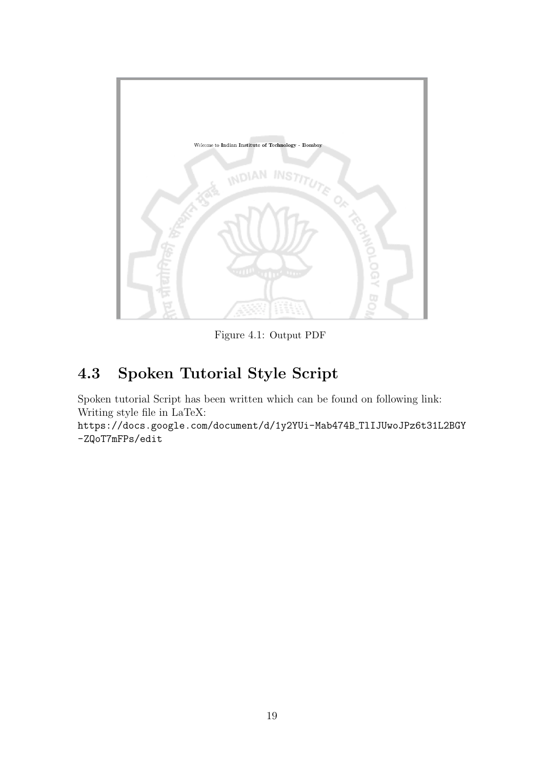<span id="page-19-1"></span>

Figure 4.1: Output PDF

# <span id="page-19-0"></span>4.3 Spoken Tutorial Style Script

Spoken tutorial Script has been written which can be found on following link: Writing style file in LaTeX:

[https://docs.google.com/document/d/1y2YUi-Mab474B](https://docs.google.com/document/d/1y2YUi-Mab474B_TlIJUwoJPz6t31L2BGY-ZQoT7mFPs/edit) TlIJUwoJPz6t31L2BGY [-ZQoT7mFPs/edit](https://docs.google.com/document/d/1y2YUi-Mab474B_TlIJUwoJPz6t31L2BGY-ZQoT7mFPs/edit)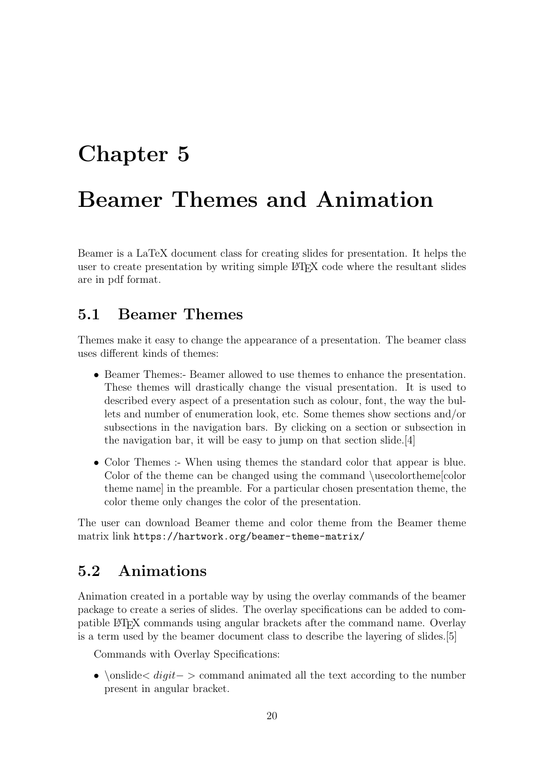# <span id="page-20-0"></span>Beamer Themes and Animation

Beamer is a LaTeX document class for creating slides for presentation. It helps the user to create presentation by writing simple LATEX code where the resultant slides are in pdf format.

### <span id="page-20-1"></span>5.1 Beamer Themes

Themes make it easy to change the appearance of a presentation. The beamer class uses different kinds of themes:

- Beamer Themes:- Beamer allowed to use themes to enhance the presentation. These themes will drastically change the visual presentation. It is used to described every aspect of a presentation such as colour, font, the way the bullets and number of enumeration look, etc. Some themes show sections and/or subsections in the navigation bars. By clicking on a section or subsection in the navigation bar, it will be easy to jump on that section slide.[\[4\]](#page-26-3)
- Color Themes :- When using themes the standard color that appear is blue. Color of the theme can be changed using the command \usecolortheme[color theme name] in the preamble. For a particular chosen presentation theme, the color theme only changes the color of the presentation.

The user can download Beamer theme and color theme from the Beamer theme matrix link <https://hartwork.org/beamer-theme-matrix/>

### <span id="page-20-2"></span>5.2 Animations

Animation created in a portable way by using the overlay commands of the beamer package to create a series of slides. The overlay specifications can be added to compatible LATEX commands using angular brackets after the command name. Overlay is a term used by the beamer document class to describe the layering of slides.[\[5\]](#page-26-4)

Commands with Overlay Specifications:

• \onslide  $\leq$  *digit* − > command animated all the text according to the number present in angular bracket.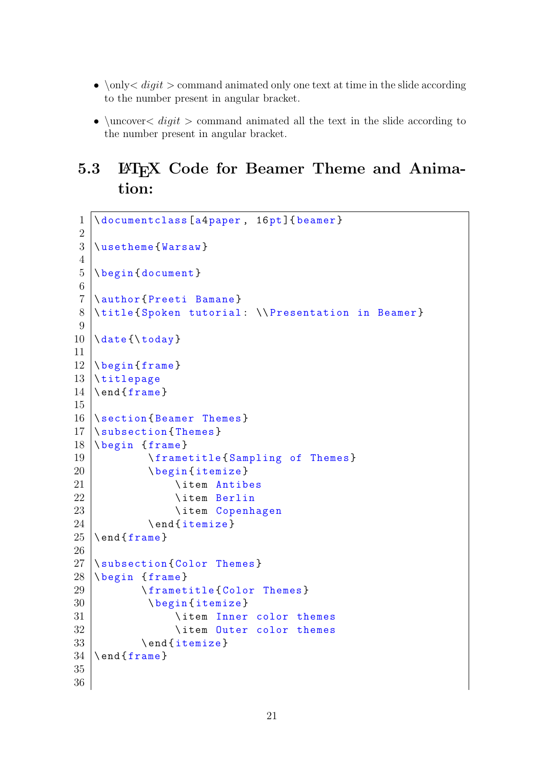- $\Omega$  is  $\Omega$  is  $\Omega$  and animated only one text at time in the slide according to the number present in angular bracket.
- \uncover  $\langle$  digit > command animated all the text in the slide according to the number present in angular bracket.

### <span id="page-21-0"></span>5.3 ET<sub>E</sub>X Code for Beamer Theme and Animation:

```
1 \documentclass [a4paper, 16pt] {beamer}
 2
 3 \mid \text{userheme} { Warsaw }
 4
 5 \ \backslash \texttt{begin} { document }
 6
 7 \author { Preeti Bamane }
 8 \title { Spoken tutorial : \\ Presentation in Beamer }
 9
10 \ \ldots \ldots \ldots \ldots \ldots \ldots \ldots \ldots \ldots \ldots \ldots \ldots \ldots \ldots \ldots \ldots \ldots \ldots \ldots \ldots \ldots \ldots \ldots \ldots \ldots \ldots \ldots \ldots \ldots \ldots \ldots \ldots \ldots \ldots \ldots \ldots \11
12 \ \backslash \text{begin} (frame)
13 \titlepage
14 \end{frac{frame}15
16 Section { Beamer Themes }
17 \ \sqrt{\text{subsection} \cdot \text{Themes}}18 \mid \text{begin} { frame }
19 \frametitle { Sampling of Themes }
20 \ \ begin { itemize }
21 \ item Antibes
22 \ \item Berlin
23 \ item Copenhagen
24 \ \ end { itemize }
25 \ \text{end} \26
27 | \subsection { Color Themes }
28 \mid \text{degree}29 \frametitle { Color Themes }
30 \ \ begin { itemize }
31 \ item Inner color themes
32 \ item Outer color themes
33 \ \ end { itemize }
34 \ \text{end} \35
36
```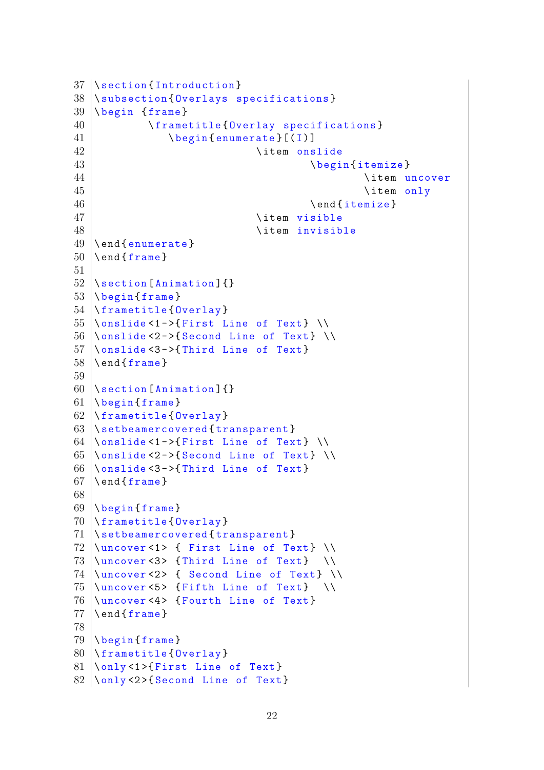```
37 | \section { Introduction }
38 | \subsection { Overlays specifications }
39 \ \rightarrow \ { frame }
40 \frametitle { Overlay specifications }
41 \begin{bmatrix} \text{begin}(\text{I}) \end{bmatrix}42 \ \ item onslide
43 \ begin { itemize }
44 \ \ item uncover
45 \ item only
46 \mid \end { itemize }
47 \ item visible
48 \ item invisible
49 \ \backslashend { enumerate }
50 \ \text{end} \51
52 \ Nsection[Animal]53 \ \backslash \begin{bmatrix} \text{frame} \end{bmatrix}54 \ frametitle { Overlay }
55 \ \mathrm{\backslash} onslide <1 ->{First Line of Text} \mathrm{\backslash}56 \ \text{longline} 56 \text{longline} 56 \text{longline} 10057 \ \mathrm{\backslash} onslide <3 - >{Third Line of Text}
58 \ \text{end} \59
60 \setminus section [Animation] {}
61 \backslash begin { frame }
62 \mid \text{frametitle} { Overlay }
63 \ Nset be a mercovered { transparent}64 \\conslide <1 - >{ First Line of Text} \\
65 \\conslide <2 - > { Second Line of Text } \\
66 \Omega ->{Third Line of Text}
67 \ \text{end} { rame }
68
69 \begin{bmatrix} begin { frame}
70 \frametitle { Overlay }
71 | \setbeamercovered { transparent }
72 \ \{\text{uncover} \leq 1 { First Line of Text} \\
73 \ \muncover <3> {Third Line of Text} \\
74 \ \{\text{uncover} \leq 2 { Second Line of Text} \\
75 \mid \text{uncover} \le 5 { Fifth Line of Text} \\
76 \mid \text{uncover} < 4 { Fourth Line of Text}
77 \ \text{end} { frame }
78
79 \ \backslash \begin{subarray}{c} \end{subarray}80 \frametitle { Overlay }
81 \longrightarrow 81 \{First Line of Text\}82 \ \{\n  only < 2 \} Second Line of Text }
```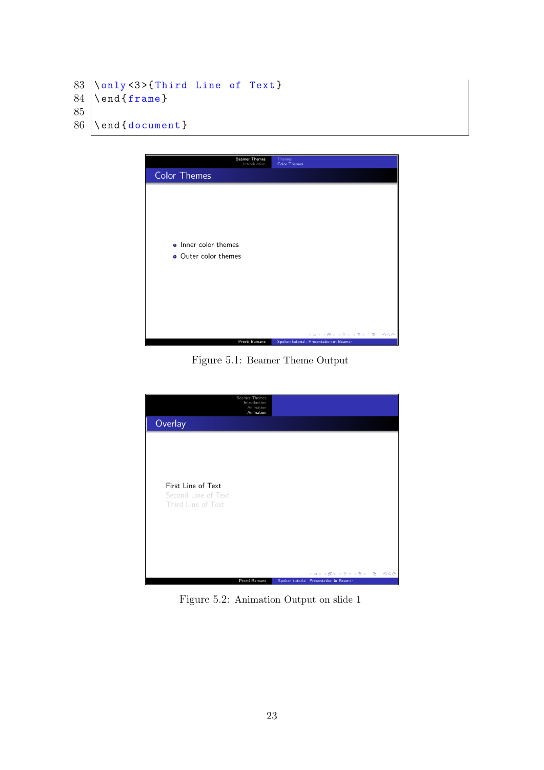```
83 \backslash only <3>{Third Line of Text}
84 \ \text{end} \85
86 \end { document }
```
<span id="page-23-0"></span>

Figure 5.1: Beamer Theme Output

<span id="page-23-1"></span>

Figure 5.2: Animation Output on slide 1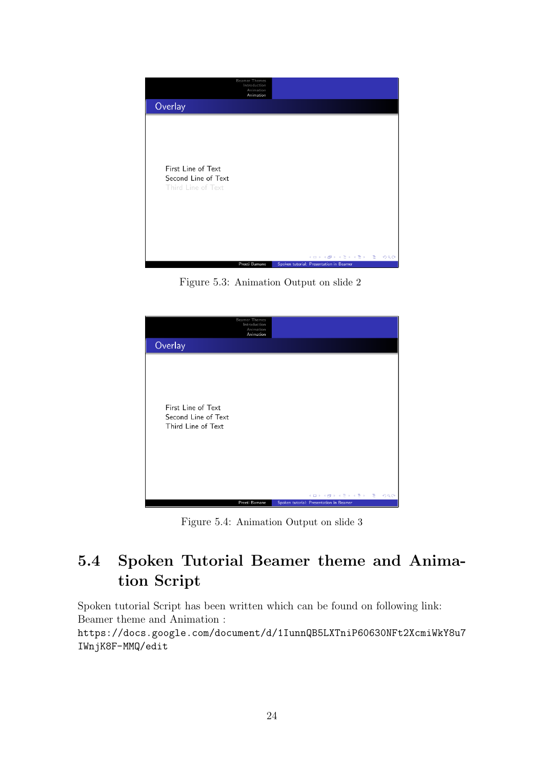<span id="page-24-1"></span>

Figure 5.3: Animation Output on slide 2

<span id="page-24-2"></span>

Figure 5.4: Animation Output on slide 3

# <span id="page-24-0"></span>5.4 Spoken Tutorial Beamer theme and Animation Script

Spoken tutorial Script has been written which can be found on following link: Beamer theme and Animation :

[https://docs.google.com/document/d/1IunnQB5LXTniP60630NFt2XcmiWkY8u7](https://docs.google.com/document/d/1IunnQB5LXTniP60630NFt2XcmiWkY8u7IWnjK8F-MMQ/edit) [IWnjK8F-MMQ/edit](https://docs.google.com/document/d/1IunnQB5LXTniP60630NFt2XcmiWkY8u7IWnjK8F-MMQ/edit)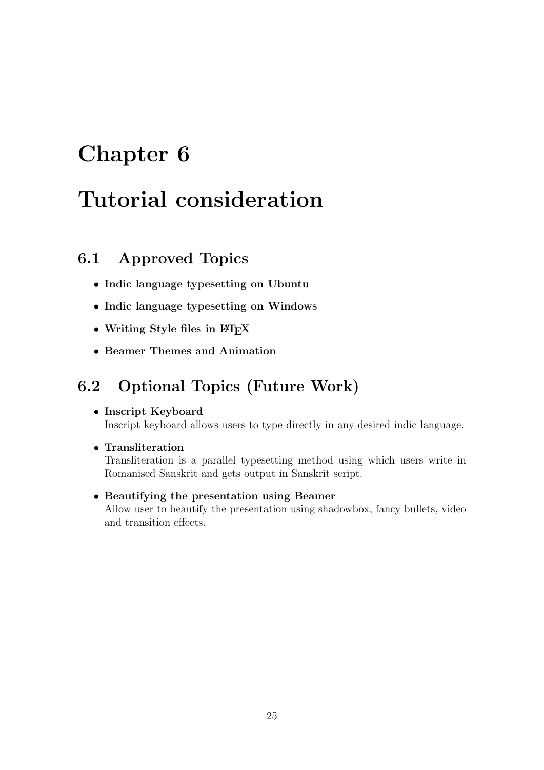# <span id="page-25-0"></span>Tutorial consideration

### <span id="page-25-1"></span>6.1 Approved Topics

- Indic language typesetting on Ubuntu
- Indic language typesetting on Windows
- Writing Style files in  $\mathbb{F}T_FX$
- Beamer Themes and Animation

### <span id="page-25-2"></span>6.2 Optional Topics (Future Work)

#### • Inscript Keyboard

Inscript keyboard allows users to type directly in any desired indic language.

#### • Transliteration

Transliteration is a parallel typesetting method using which users write in Romanised Sanskrit and gets output in Sanskrit script.

#### • Beautifying the presentation using Beamer

Allow user to beautify the presentation using shadowbox, fancy bullets, video and transition effects.